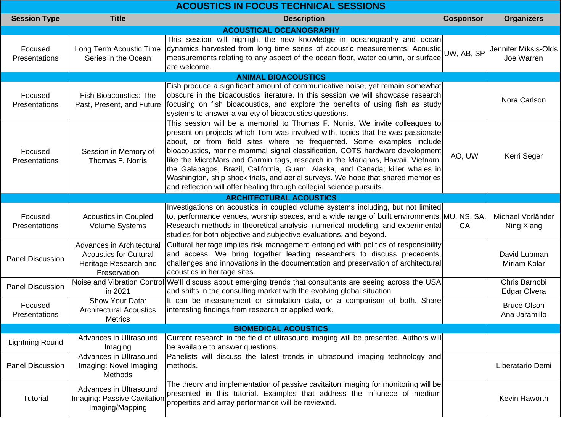| <b>ACOUSTICS IN FOCUS TECHNICAL SESSIONS</b> |                                                                                                     |                                                                                                                                                                                                                                                                                                                                                                                                                                                                                                                                                                                                                                                        |                  |                                     |  |
|----------------------------------------------|-----------------------------------------------------------------------------------------------------|--------------------------------------------------------------------------------------------------------------------------------------------------------------------------------------------------------------------------------------------------------------------------------------------------------------------------------------------------------------------------------------------------------------------------------------------------------------------------------------------------------------------------------------------------------------------------------------------------------------------------------------------------------|------------------|-------------------------------------|--|
| <b>Session Type</b>                          | <b>Title</b>                                                                                        | <b>Description</b>                                                                                                                                                                                                                                                                                                                                                                                                                                                                                                                                                                                                                                     | <b>Cosponsor</b> | <b>Organizers</b>                   |  |
|                                              |                                                                                                     | <b>ACOUSTICAL OCEANOGRAPHY</b>                                                                                                                                                                                                                                                                                                                                                                                                                                                                                                                                                                                                                         |                  |                                     |  |
| Focused<br>Presentations                     | Long Term Acoustic Time<br>Series in the Ocean                                                      | This session will highlight the new knowledge in oceanography and ocean<br>dynamics harvested from long time series of acoustic measurements. Acoustic UW, AB, SP<br>measurements relating to any aspect of the ocean floor, water column, or surface<br>are welcome.                                                                                                                                                                                                                                                                                                                                                                                  |                  | Jennifer Miksis-Olds<br>Joe Warren  |  |
|                                              |                                                                                                     | <b>ANIMAL BIOACOUSTICS</b>                                                                                                                                                                                                                                                                                                                                                                                                                                                                                                                                                                                                                             |                  |                                     |  |
| Focused<br>Presentations                     | <b>Fish Bioacoustics: The</b><br>Past, Present, and Future                                          | Fish produce a significant amount of communicative noise, yet remain somewhat<br>obscure in the bioacoustics literature. In this session we will showcase research<br>focusing on fish bioacoustics, and explore the benefits of using fish as study<br>systems to answer a variety of bioacoustics questions.                                                                                                                                                                                                                                                                                                                                         |                  | Nora Carlson                        |  |
| Focused<br>Presentations                     | Session in Memory of<br>Thomas F. Norris                                                            | This session will be a memorial to Thomas F. Norris. We invite colleagues to<br>present on projects which Tom was involved with, topics that he was passionate<br>about, or from field sites where he frequented. Some examples include<br>bioacoustics, marine mammal signal classification, COTS hardware development<br>like the MicroMars and Garmin tags, research in the Marianas, Hawaii, Vietnam,<br>the Galapagos, Brazil, California, Guam, Alaska, and Canada; killer whales in<br>Washington, ship shock trials, and aerial surveys. We hope that shared memories<br>and reflection will offer healing through collegial science pursuits. | AO, UW           | Kerri Seger                         |  |
|                                              |                                                                                                     | <b>ARCHITECTURAL ACOUSTICS</b>                                                                                                                                                                                                                                                                                                                                                                                                                                                                                                                                                                                                                         |                  |                                     |  |
| Focused<br>Presentations                     | <b>Acoustics in Coupled</b><br><b>Volume Systems</b>                                                | Investigations on acoustics in coupled volume systems including, but not limited<br>to, performance venues, worship spaces, and a wide range of built environments. MU, NS, SA,<br>Research methods in theoretical analysis, numerical modeling, and experimental<br>studies for both objective and subjective evaluations, and beyond.                                                                                                                                                                                                                                                                                                                | CA               | Michael Vorländer<br>Ning Xiang     |  |
| <b>Panel Discussion</b>                      | Advances in Architectural<br><b>Acoustics for Cultural</b><br>Heritage Research and<br>Preservation | Cultural heritage implies risk management entangled with politics of responsibility<br>and access. We bring together leading researchers to discuss precedents,<br>challenges and innovations in the documentation and preservation of architectural<br>acoustics in heritage sites.                                                                                                                                                                                                                                                                                                                                                                   |                  | David Lubman<br>Miriam Kolar        |  |
| <b>Panel Discussion</b>                      | in 2021                                                                                             | Noise and Vibration Control We'll discuss about emerging trends that consultants are seeing across the USA<br>and shifts in the consulting market with the evolving global situation                                                                                                                                                                                                                                                                                                                                                                                                                                                                   |                  | Chris Barnobi<br>Edgar Olvera       |  |
| Focused<br><b>Presentations</b>              | Show Your Data:<br><b>Architectural Acoustics</b><br><b>Metrics</b>                                 | It can be measurement or simulation data, or a comparison of both. Share<br>interesting findings from research or applied work.                                                                                                                                                                                                                                                                                                                                                                                                                                                                                                                        |                  | <b>Bruce Olson</b><br>Ana Jaramillo |  |
| <b>BIOMEDICAL ACOUSTICS</b>                  |                                                                                                     |                                                                                                                                                                                                                                                                                                                                                                                                                                                                                                                                                                                                                                                        |                  |                                     |  |
| <b>Lightning Round</b>                       | Advances in Ultrasound<br>Imaging                                                                   | Current research in the field of ultrasound imaging will be presented. Authors will<br>be available to answer questions.                                                                                                                                                                                                                                                                                                                                                                                                                                                                                                                               |                  |                                     |  |
| <b>Panel Discussion</b>                      | Advances in Ultrasound<br>Imaging: Novel Imaging<br>Methods                                         | Panelists will discuss the latest trends in ultrasound imaging technology and<br>methods.                                                                                                                                                                                                                                                                                                                                                                                                                                                                                                                                                              |                  | Liberatario Demi                    |  |
| Tutorial                                     | Advances in Ultrasound<br>Imaging: Passive Cavitation<br>Imaging/Mapping                            | The theory and implementation of passive cavitaiton imaging for monitoring will be<br>presented in this tutorial. Examples that address the influnece of medium<br>properties and array performance will be reviewed.                                                                                                                                                                                                                                                                                                                                                                                                                                  |                  | Kevin Haworth                       |  |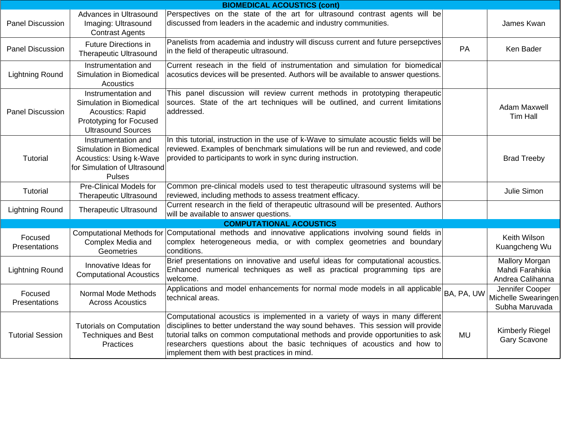| <b>BIOMEDICAL ACOUSTICS (cont)</b> |                                                                                                                             |                                                                                                                                                                                                                                                                                                                                                                                  |            |                                                              |  |
|------------------------------------|-----------------------------------------------------------------------------------------------------------------------------|----------------------------------------------------------------------------------------------------------------------------------------------------------------------------------------------------------------------------------------------------------------------------------------------------------------------------------------------------------------------------------|------------|--------------------------------------------------------------|--|
| Panel Discussion                   | Advances in Ultrasound<br>Imaging: Ultrasound<br><b>Contrast Agents</b>                                                     | Perspectives on the state of the art for ultrasound contrast agents will be<br>discussed from leaders in the academic and industry communities.                                                                                                                                                                                                                                  |            | James Kwan                                                   |  |
| <b>Panel Discussion</b>            | Future Directions in<br><b>Therapeutic Ultrasound</b>                                                                       | Panelists from academia and industry will discuss current and future persepctives<br>in the field of therapeutic ultrasound.                                                                                                                                                                                                                                                     | PA         | Ken Bader                                                    |  |
| <b>Lightning Round</b>             | Instrumentation and<br>Simulation in Biomedical<br>Acoustics                                                                | Current reseach in the field of instrumentation and simulation for biomedical<br>acosutics devices will be presented. Authors will be available to answer questions.                                                                                                                                                                                                             |            |                                                              |  |
| Panel Discussion                   | Instrumentation and<br>Simulation in Biomedical<br>Acoustics: Rapid<br>Prototyping for Focused<br><b>Ultrasound Sources</b> | This panel discussion will review current methods in prototyping therapeutic<br>sources. State of the art techniques will be outlined, and current limitations<br>addressed.                                                                                                                                                                                                     |            | <b>Adam Maxwell</b><br>Tim Hall                              |  |
| Tutorial                           | Instrumentation and<br>Simulation in Biomedical<br>Acoustics: Using k-Wave<br>for Simulation of Ultrasound<br><b>Pulses</b> | In this tutorial, instruction in the use of k-Wave to simulate acoustic fields will be<br>reviewed. Examples of benchmark simulations will be run and reviewed, and code<br>provided to participants to work in sync during instruction.                                                                                                                                         |            | <b>Brad Treeby</b>                                           |  |
| Tutorial                           | <b>Pre-Clinical Models for</b><br><b>Therapeutic Ultrasound</b>                                                             | Common pre-clinical models used to test therapeutic ultrasound systems will be<br>reviewed, including methods to assess treatment efficacy.                                                                                                                                                                                                                                      |            | Julie Simon                                                  |  |
| <b>Lightning Round</b>             | <b>Therapeutic Ultrasound</b>                                                                                               | Current research in the field of therapeutic ultrasound will be presented. Authors<br>will be available to answer questions.                                                                                                                                                                                                                                                     |            |                                                              |  |
|                                    |                                                                                                                             | <b>COMPUTATIONAL ACOUSTICS</b>                                                                                                                                                                                                                                                                                                                                                   |            |                                                              |  |
| Focused<br>Presentations           | <b>Computational Methods for</b><br>Complex Media and<br>Geometries                                                         | Computational methods and innovative applications involving sound fields in<br>complex heterogeneous media, or with complex geometries and boundary<br>conditions.                                                                                                                                                                                                               |            | Keith Wilson<br>Kuangcheng Wu                                |  |
| <b>Lightning Round</b>             | Innovative Ideas for<br><b>Computational Acoustics</b>                                                                      | Brief presentations on innovative and useful ideas for computational acoustics.<br>Enhanced numerical techniques as well as practical programming tips are<br>welcome.                                                                                                                                                                                                           |            | <b>Mallory Morgan</b><br>Mahdi Farahikia<br>Andrea Calihanna |  |
| Focused<br>Presentations           | Normal Mode Methods<br><b>Across Acoustics</b>                                                                              | Applications and model enhancements for normal mode models in all applicable<br>technical areas.                                                                                                                                                                                                                                                                                 | BA, PA, UW | Jennifer Cooper<br>Michelle Swearingen<br>Subha Maruvada     |  |
| <b>Tutorial Session</b>            | <b>Tutorials on Computation</b><br><b>Techniques and Best</b><br>Practices                                                  | Computational acoustics is implemented in a variety of ways in many different<br>disciplines to better understand the way sound behaves. This session will provide<br>tutorial talks on common computational methods and provide opportunities to ask<br>researchers questions about the basic techniques of acoustics and how to<br>implement them with best practices in mind. | <b>MU</b>  | <b>Kimberly Riegel</b><br>Gary Scavone                       |  |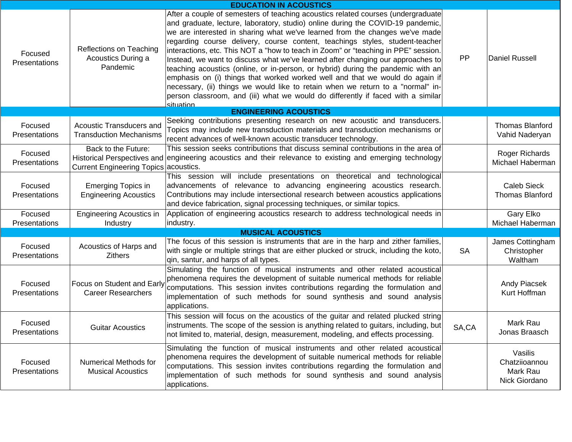| <b>EDUCATION IN ACOUSTICS</b>   |                                                              |                                                                                                                                                                                                                                                                                                                                                                                                                                                                                                                                                                                                                                                                                                                                                                                                                                                                      |           |                                                       |  |
|---------------------------------|--------------------------------------------------------------|----------------------------------------------------------------------------------------------------------------------------------------------------------------------------------------------------------------------------------------------------------------------------------------------------------------------------------------------------------------------------------------------------------------------------------------------------------------------------------------------------------------------------------------------------------------------------------------------------------------------------------------------------------------------------------------------------------------------------------------------------------------------------------------------------------------------------------------------------------------------|-----------|-------------------------------------------------------|--|
| Focused<br>Presentations        | Reflections on Teaching<br>Acoustics During a<br>Pandemic    | After a couple of semesters of teaching acoustics related courses (undergraduate)<br>and graduate, lecture, laboratory, studio) online during the COVID-19 pandemic,<br>we are interested in sharing what we've learned from the changes we've made<br>regarding course delivery, course content, teachings styles, student-teacher<br>interactions, etc. This NOT a "how to teach in Zoom" or "teaching in PPE" session.<br>Instead, we want to discuss what we've learned after changing our approaches to<br>teaching acoustics (online, or in-person, or hybrid) during the pandemic with an<br>emphasis on (i) things that worked worked well and that we would do again if<br>necessary, (ii) things we would like to retain when we return to a "normal" in-<br>person classroom, and (iii) what we would do differently if faced with a similar<br>situation | <b>PP</b> | <b>Daniel Russell</b>                                 |  |
|                                 |                                                              | <b>ENGINEERING ACOUSTICS</b>                                                                                                                                                                                                                                                                                                                                                                                                                                                                                                                                                                                                                                                                                                                                                                                                                                         |           |                                                       |  |
| Focused<br>Presentations        | Acoustic Transducers and<br><b>Transduction Mechanisms</b>   | Seeking contributions presenting research on new acoustic and transducers.<br>Topics may include new transduction materials and transduction mechanisms or<br>recent advances of well-known acoustic transducer technology.                                                                                                                                                                                                                                                                                                                                                                                                                                                                                                                                                                                                                                          |           | <b>Thomas Blanford</b><br>Vahid Naderyan              |  |
| Focused<br>Presentations        | Back to the Future:<br>Current Engineering Topics acoustics. | This session seeks contributions that discuss seminal contributions in the area of<br>Historical Perspectives and engineering acoustics and their relevance to existing and emerging technology                                                                                                                                                                                                                                                                                                                                                                                                                                                                                                                                                                                                                                                                      |           | Roger Richards<br>Michael Haberman                    |  |
| Focused<br>Presentations        | <b>Emerging Topics in</b><br><b>Engineering Acoustics</b>    | This session will include presentations on theoretical and technological<br>advancements of relevance to advancing engineering acoustics research.<br>Contributions may include intersectional research between acoustics applications<br>and device fabrication, signal processing techniques, or similar topics.                                                                                                                                                                                                                                                                                                                                                                                                                                                                                                                                                   |           | Caleb Sieck<br><b>Thomas Blanford</b>                 |  |
| Focused<br>Presentations        | <b>Engineering Acoustics in</b><br>Industry                  | Application of engineering acoustics research to address technological needs in<br>industry.                                                                                                                                                                                                                                                                                                                                                                                                                                                                                                                                                                                                                                                                                                                                                                         |           | Gary Elko<br>Michael Haberman                         |  |
|                                 |                                                              | <b>MUSICAL ACOUSTICS</b>                                                                                                                                                                                                                                                                                                                                                                                                                                                                                                                                                                                                                                                                                                                                                                                                                                             |           |                                                       |  |
| Focused<br>Presentations        | Acoustics of Harps and<br><b>Zithers</b>                     | The focus of this session is instruments that are in the harp and zither families,<br>with single or multiple strings that are either plucked or struck, including the koto,<br>qin, santur, and harps of all types.                                                                                                                                                                                                                                                                                                                                                                                                                                                                                                                                                                                                                                                 | <b>SA</b> | James Cottingham<br>Christopher<br>Waltham            |  |
| Focused<br><b>Presentations</b> | Focus on Student and Early<br><b>Career Researchers</b>      | Simulating the function of musical instruments and other related acoustical<br>phenomena requires the development of suitable numerical methods for reliable<br>computations. This session invites contributions regarding the formulation and<br>implementation of such methods for sound synthesis and sound analysis<br>applications.                                                                                                                                                                                                                                                                                                                                                                                                                                                                                                                             |           | <b>Andy Piacsek</b><br>Kurt Hoffman                   |  |
| Focused<br>Presentations        | <b>Guitar Acoustics</b>                                      | This session will focus on the acoustics of the guitar and related plucked string<br>instruments. The scope of the session is anything related to guitars, including, but<br>not limited to, material, design, measurement, modeling, and effects processing.                                                                                                                                                                                                                                                                                                                                                                                                                                                                                                                                                                                                        | SA,CA     | Mark Rau<br>Jonas Braasch                             |  |
| Focused<br>Presentations        | Numerical Methods for<br><b>Musical Acoustics</b>            | Simulating the function of musical instruments and other related acoustical<br>phenomena requires the development of suitable numerical methods for reliable<br>computations. This session invites contributions regarding the formulation and<br>implementation of such methods for sound synthesis and sound analysis<br>applications.                                                                                                                                                                                                                                                                                                                                                                                                                                                                                                                             |           | Vasilis<br>Chatziioannou<br>Mark Rau<br>Nick Giordano |  |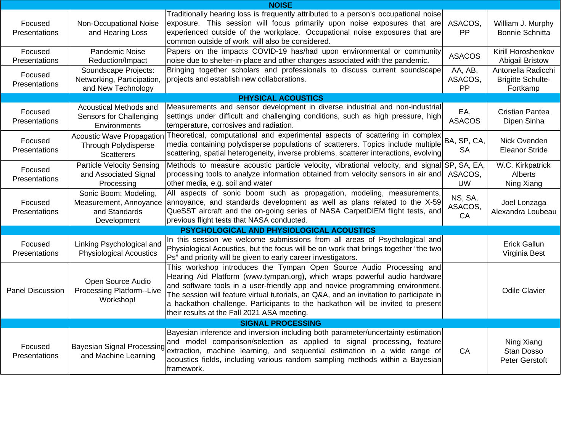| <b>NOISE</b>             |                                                                                      |                                                                                                                                                                                                                                                                                                                                                                                                                                                                  |                          |                                                            |  |
|--------------------------|--------------------------------------------------------------------------------------|------------------------------------------------------------------------------------------------------------------------------------------------------------------------------------------------------------------------------------------------------------------------------------------------------------------------------------------------------------------------------------------------------------------------------------------------------------------|--------------------------|------------------------------------------------------------|--|
| Focused<br>Presentations | Non-Occupational Noise<br>and Hearing Loss                                           | Traditionally hearing loss is frequently attributed to a person's occupational noise<br>exposure. This session will focus primarily upon noise exposures that are<br>experienced outside of the workplace. Occupational noise exposures that are<br>common outside of work will also be considered.                                                                                                                                                              | ASACOS,<br>PP            | William J. Murphy<br><b>Bonnie Schnitta</b>                |  |
| Focused<br>Presentations | Pandemic Noise<br>Reduction/Impact                                                   | Papers on the impacts COVID-19 has/had upon environmental or community<br>noise due to shelter-in-place and other changes associated with the pandemic.                                                                                                                                                                                                                                                                                                          | <b>ASACOS</b>            | Kirill Horoshenkov<br><b>Abigail Bristow</b>               |  |
| Focused<br>Presentations | Soundscape Projects:<br>Networking, Participation,<br>and New Technology             | Bringing together scholars and professionals to discuss current soundscape<br>projects and establish new collaborations.                                                                                                                                                                                                                                                                                                                                         | AA, AB,<br>ASACOS,<br>PP | Antonella Radicchi<br><b>Brigitte Schulte-</b><br>Fortkamp |  |
|                          |                                                                                      | <b>PHYSICAL ACOUSTICS</b>                                                                                                                                                                                                                                                                                                                                                                                                                                        |                          |                                                            |  |
| Focused<br>Presentations | Acoustical Methods and<br>Sensors for Challenging<br>Environments                    | Measurements and sensor development in diverse industrial and non-industrial<br>settings under difficult and challenging conditions, such as high pressure, high<br>temperature, corrosives and radiation.                                                                                                                                                                                                                                                       | EA,<br><b>ASACOS</b>     | <b>Cristian Pantea</b><br>Dipen Sinha                      |  |
| Focused<br>Presentations | <b>Acoustic Wave Propagation</b><br><b>Through Polydisperse</b><br><b>Scatterers</b> | Theoretical, computational and experimental aspects of scattering in complex<br>media containing polydisperse populations of scatterers. Topics include multiple<br>scattering, spatial heterogeneity, inverse problems, scatterer interactions, evolving                                                                                                                                                                                                        | BA, SP, CA,<br><b>SA</b> | Nick Ovenden<br><b>Eleanor Stride</b>                      |  |
| Focused<br>Presentations | <b>Particle Velocity Sensing</b><br>and Associated Signal<br>Processing              | Methods to measure acoustic particle velocity, vibrational velocity, and signal SP, SA, EA,<br>processing tools to analyze information obtained from velocity sensors in air and<br>other media, e.g. soil and water                                                                                                                                                                                                                                             | ASACOS,<br><b>UW</b>     | W.C. Kirkpatrick<br>Alberts<br>Ning Xiang                  |  |
| Focused<br>Presentations | Sonic Boom: Modeling,<br>Measurement, Annoyance<br>and Standards<br>Development      | All aspects of sonic boom such as propagation, modeling, measurements,<br>annoyance, and standards development as well as plans related to the X-59<br>QueSST aircraft and the on-going series of NASA CarpetDIEM flight tests, and<br>previous flight tests that NASA conducted.                                                                                                                                                                                | NS, SA,<br>ASACOS,<br>CA | Joel Lonzaga<br>Alexandra Loubeau                          |  |
|                          |                                                                                      | PSYCHOLOGICAL AND PHYSIOLOGICAL ACOUSTICS                                                                                                                                                                                                                                                                                                                                                                                                                        |                          |                                                            |  |
| Focused<br>Presentations | Linking Psychological and<br><b>Physiological Acoustics</b>                          | In this session we welcome submissions from all areas of Psychological and<br>Physiological Acoustics, but the focus will be on work that brings together "the two<br>Ps" and priority will be given to early career investigators.                                                                                                                                                                                                                              |                          | <b>Erick Gallun</b><br>Virginia Best                       |  |
| <b>Panel Discussion</b>  | Open Source Audio<br>Processing Platform--Live<br>Workshop!                          | This workshop introduces the Tympan Open Source Audio Processing and<br>Hearing Aid Platform (www.tympan.org), which wraps powerful audio hardware<br>and software tools in a user-friendly app and novice programming environment.<br>The session will feature virtual tutorials, an Q&A, and an invitation to participate in<br>a hackathon challenge. Participants to the hackathon will be invited to present<br>their results at the Fall 2021 ASA meeting. |                          | <b>Odile Clavier</b>                                       |  |
| <b>SIGNAL PROCESSING</b> |                                                                                      |                                                                                                                                                                                                                                                                                                                                                                                                                                                                  |                          |                                                            |  |
| Focused<br>Presentations | <b>Bayesian Signal Processing</b><br>and Machine Learning                            | Bayesian inference and inversion including both parameter/uncertainty estimation<br>and model comparison/selection as applied to signal processing, feature<br>extraction, machine learning, and sequential estimation in a wide range of<br>acoustics fields, including various random sampling methods within a Bayesian<br>framework.                                                                                                                         | CA                       | Ning Xiang<br>Stan Dosso<br><b>Peter Gerstoft</b>          |  |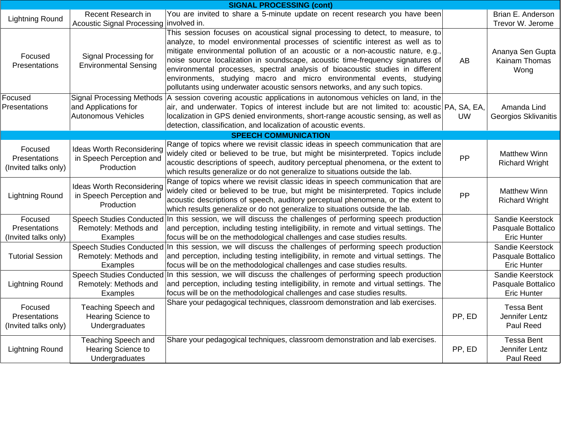| <b>SIGNAL PROCESSING (cont)</b>                  |                                                                            |                                                                                                                                                                                                                                                                                                                                                                                                                                                                                                                                                                                 |           |                                                              |  |  |
|--------------------------------------------------|----------------------------------------------------------------------------|---------------------------------------------------------------------------------------------------------------------------------------------------------------------------------------------------------------------------------------------------------------------------------------------------------------------------------------------------------------------------------------------------------------------------------------------------------------------------------------------------------------------------------------------------------------------------------|-----------|--------------------------------------------------------------|--|--|
| <b>Lightning Round</b>                           | Recent Research in<br><b>Acoustic Signal Processing</b>                    | You are invited to share a 5-minute update on recent research you have been<br>involved in.                                                                                                                                                                                                                                                                                                                                                                                                                                                                                     |           | Brian E. Anderson<br>Trevor W. Jerome                        |  |  |
| Focused<br><b>Presentations</b>                  | Signal Processing for<br><b>Environmental Sensing</b>                      | This session focuses on acoustical signal processing to detect, to measure, to<br>analyze, to model environmental processes of scientific interest as well as to<br>mitigate environmental pollution of an acoustic or a non-acoustic nature, e.g.,<br>noise source localization in soundscape, acoustic time-frequency signatures of<br>environmental processes, spectral analysis of bioacoustic studies in different<br>environments, studying macro and micro environmental events, studying<br>pollutants using underwater acoustic sensors networks, and any such topics. | AB.       | Ananya Sen Gupta<br>Kainam Thomas<br>Wong                    |  |  |
| Focused<br>Presentations                         | and Applications for<br>Autonomous Vehicles                                | Signal Processing Methods   A session covering acoustic applications in autonomous vehicles on land, in the<br>air, and underwater. Topics of interest include but are not limited to: acoustic PA, SA, EA,<br>localization in GPS denied environments, short-range acoustic sensing, as well as<br>detection, classification, and localization of acoustic events.                                                                                                                                                                                                             | <b>UW</b> | Amanda Lind<br>Georgios Sklivanitis                          |  |  |
|                                                  |                                                                            | <b>SPEECH COMMUNICATION</b>                                                                                                                                                                                                                                                                                                                                                                                                                                                                                                                                                     |           |                                                              |  |  |
| Focused<br>Presentations<br>(Invited talks only) | <b>Ideas Worth Reconsidering</b><br>in Speech Perception and<br>Production | Range of topics where we revisit classic ideas in speech communication that are<br>widely cited or believed to be true, but might be misinterpreted. Topics include<br>acoustic descriptions of speech, auditory perceptual phenomena, or the extent to<br>which results generalize or do not generalize to situations outside the lab.                                                                                                                                                                                                                                         | PP        | <b>Matthew Winn</b><br><b>Richard Wright</b>                 |  |  |
| <b>Lightning Round</b>                           | <b>Ideas Worth Reconsidering</b><br>in Speech Perception and<br>Production | Range of topics where we revisit classic ideas in speech communication that are<br>widely cited or believed to be true, but might be misinterpreted. Topics include<br>acoustic descriptions of speech, auditory perceptual phenomena, or the extent to<br>which results generalize or do not generalize to situations outside the lab.                                                                                                                                                                                                                                         | PP        | <b>Matthew Winn</b><br><b>Richard Wright</b>                 |  |  |
| Focused<br>Presentations<br>(Invited talks only) | <b>Speech Studies Conducted</b><br>Remotely: Methods and<br>Examples       | In this session, we will discuss the challenges of performing speech production<br>and perception, including testing intelligibility, in remote and virtual settings. The<br>focus will be on the methodological challenges and case studies results.                                                                                                                                                                                                                                                                                                                           |           | Sandie Keerstock<br>Pasquale Bottalico<br><b>Eric Hunter</b> |  |  |
| <b>Tutorial Session</b>                          | <b>Speech Studies Conducted</b><br>Remotely: Methods and<br>Examples       | In this session, we will discuss the challenges of performing speech production<br>and perception, including testing intelligibility, in remote and virtual settings. The<br>focus will be on the methodological challenges and case studies results.                                                                                                                                                                                                                                                                                                                           |           | Sandie Keerstock<br>Pasquale Bottalico<br><b>Eric Hunter</b> |  |  |
| <b>Lightning Round</b>                           | <b>Speech Studies Conducted</b><br>Remotely: Methods and<br>Examples       | In this session, we will discuss the challenges of performing speech production<br>and perception, including testing intelligibility, in remote and virtual settings. The<br>focus will be on the methodological challenges and case studies results.                                                                                                                                                                                                                                                                                                                           |           | Sandie Keerstock<br>Pasquale Bottalico<br><b>Eric Hunter</b> |  |  |
| Focused<br>Presentations<br>(Invited talks only) | Teaching Speech and<br>Hearing Science to<br>Undergraduates                | Share your pedagogical techniques, classroom demonstration and lab exercises.                                                                                                                                                                                                                                                                                                                                                                                                                                                                                                   | PP, ED    | <b>Tessa Bent</b><br>Jennifer Lentz<br>Paul Reed             |  |  |
| <b>Lightning Round</b>                           | Teaching Speech and<br>Hearing Science to<br>Undergraduates                | Share your pedagogical techniques, classroom demonstration and lab exercises.                                                                                                                                                                                                                                                                                                                                                                                                                                                                                                   | PP, ED    | <b>Tessa Bent</b><br>Jennifer Lentz<br>Paul Reed             |  |  |